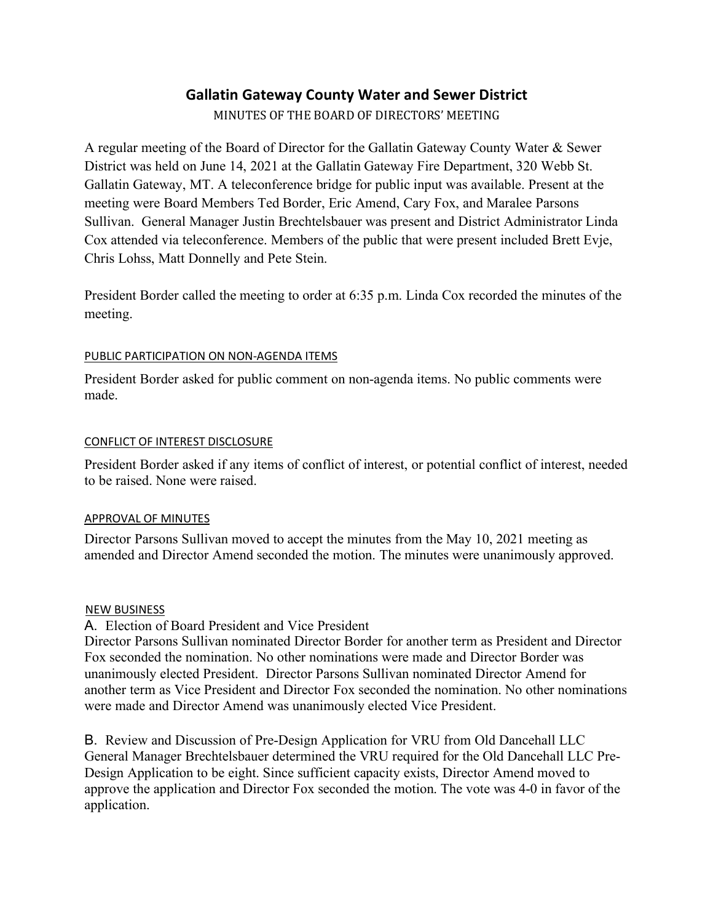# **Gallatin Gateway County Water and Sewer District**

MINUTES OF THE BOARD OF DIRECTORS' MEETING

A regular meeting of the Board of Director for the Gallatin Gateway County Water & Sewer District was held on June 14, 2021 at the Gallatin Gateway Fire Department, 320 Webb St. Gallatin Gateway, MT. A teleconference bridge for public input was available. Present at the meeting were Board Members Ted Border, Eric Amend, Cary Fox, and Maralee Parsons Sullivan. General Manager Justin Brechtelsbauer was present and District Administrator Linda Cox attended via teleconference. Members of the public that were present included Brett Evje, Chris Lohss, Matt Donnelly and Pete Stein.

President Border called the meeting to order at 6:35 p.m. Linda Cox recorded the minutes of the meeting.

## PUBLIC PARTICIPATION ON NON-AGENDA ITEMS

President Border asked for public comment on non-agenda items. No public comments were made.

#### CONFLICT OF INTEREST DISCLOSURE

President Border asked if any items of conflict of interest, or potential conflict of interest, needed to be raised. None were raised.

## APPROVAL OF MINUTES

Director Parsons Sullivan moved to accept the minutes from the May 10, 2021 meeting as amended and Director Amend seconded the motion. The minutes were unanimously approved.

#### NEW BUSINESS

A. Election of Board President and Vice President

Director Parsons Sullivan nominated Director Border for another term as President and Director Fox seconded the nomination. No other nominations were made and Director Border was unanimously elected President. Director Parsons Sullivan nominated Director Amend for another term as Vice President and Director Fox seconded the nomination. No other nominations were made and Director Amend was unanimously elected Vice President.

B. Review and Discussion of Pre-Design Application for VRU from Old Dancehall LLC General Manager Brechtelsbauer determined the VRU required for the Old Dancehall LLC Pre-Design Application to be eight. Since sufficient capacity exists, Director Amend moved to approve the application and Director Fox seconded the motion. The vote was 4-0 in favor of the application.